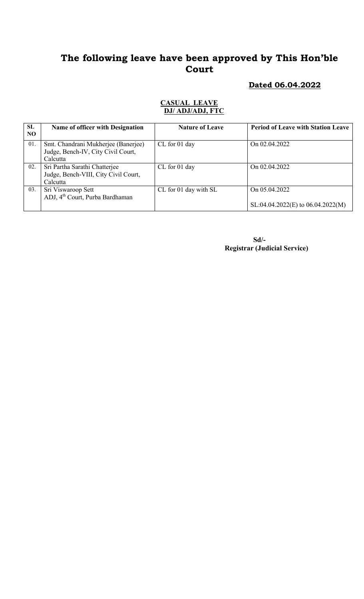#### Dated 06.04.2022

#### CASUAL LEAVE DJ/ ADJ/ADJ, FTC

| SL<br>NO | Name of officer with Designation                                                      | <b>Nature of Leave</b> | <b>Period of Leave with Station Leave</b>            |
|----------|---------------------------------------------------------------------------------------|------------------------|------------------------------------------------------|
| 01.      | Smt. Chandrani Mukherjee (Banerjee)<br>Judge, Bench-IV, City Civil Court,<br>Calcutta | CL for 01 day          | On 02.04.2022                                        |
| 02.      | Sri Partha Sarathi Chatterjee<br>Judge, Bench-VIII, City Civil Court,<br>Calcutta     | CL for 01 day          | On 02.04.2022                                        |
| 03.      | Sri Viswaroop Sett<br>ADJ, 4 <sup>th</sup> Court, Purba Bardhaman                     | CL for 01 day with SL  | On 05.04.2022<br>$SL:04.04.2022(E)$ to 06.04.2022(M) |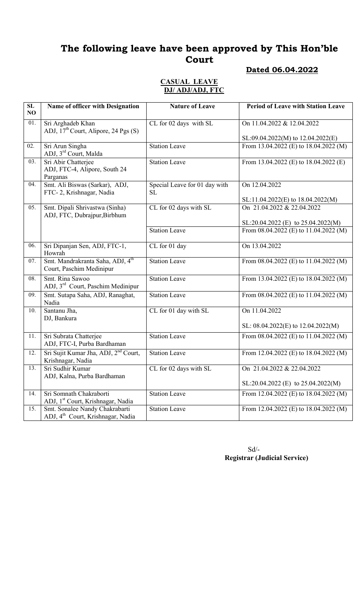## Dated 06.04.2022

#### CASUAL LEAVE DJ/ ADJ/ADJ, FTC

| $\overline{\text{SL}}$<br>NO | Name of officer with Designation                                                | <b>Nature of Leave</b>              | <b>Period of Leave with Station Leave</b>          |
|------------------------------|---------------------------------------------------------------------------------|-------------------------------------|----------------------------------------------------|
| 01.                          | Sri Arghadeb Khan<br>ADJ, $17th$ Court, Alipore, 24 Pgs (S)                     | CL for 02 days with SL              | On 11.04.2022 & 12.04.2022                         |
|                              |                                                                                 |                                     | SL:09.04.2022(M) to 12.04.2022(E)                  |
| 02.                          | Sri Arun Singha<br>ADJ, 3rd Court, Malda                                        | <b>Station Leave</b>                | From 13.04.2022 (E) to 18.04.2022 (M)              |
| 03.                          | Sri Abir Chatterjee<br>ADJ, FTC-4, Alipore, South 24<br>Parganas                | <b>Station Leave</b>                | From 13.04.2022 (E) to $18.04.2022$ (E)            |
| 04.                          | Smt. Ali Biswas (Sarkar), ADJ,<br>FTC-2, Krishnagar, Nadia                      | Special Leave for 01 day with<br>SL | On 12.04.2022<br>SL:11.04.2022(E) to 18.04.2022(M) |
| 05.                          | Smt. Dipali Shrivastwa (Sinha)<br>ADJ, FTC, Dubrajpur, Birbhum                  | CL for 02 days with SL              | On 21.04.2022 & 22.04.2022                         |
|                              |                                                                                 |                                     | $SL:20.04.2022$ (E) to $25.04.2022(M)$             |
|                              |                                                                                 | <b>Station Leave</b>                | From $08.04.2022$ (E) to $11.04.2022$ (M)          |
| 06.                          | Sri Dipanjan Sen, ADJ, FTC-1,<br>Howrah                                         | CL for 01 day                       | On 13.04.2022                                      |
| 07.                          | Smt. Mandrakranta Saha, ADJ, 4 <sup>th</sup><br>Court, Paschim Medinipur        | <b>Station Leave</b>                | From $08.04.2022$ (E) to $11.04.2022$ (M)          |
| 08.                          | Smt. Rina Sawoo<br>ADJ, 3 <sup>rd</sup> Court, Paschim Medinipur                | <b>Station Leave</b>                | From 13.04.2022 (E) to 18.04.2022 (M)              |
| 09.                          | Smt. Sutapa Saha, ADJ, Ranaghat,<br>Nadia                                       | <b>Station Leave</b>                | From $08.04.2022$ (E) to $11.04.2022$ (M)          |
| 10.                          | Santanu Jha,<br>DJ, Bankura                                                     | CL for 01 day with SL               | On 11.04.2022                                      |
|                              |                                                                                 |                                     | SL: $08.04.2022(E)$ to $12.04.2022(M)$             |
| 11.                          | Sri Subrata Chatterjee<br>ADJ, FTC-I, Purba Bardhaman                           | <b>Station Leave</b>                | From 08.04.2022 (E) to 11.04.2022 (M)              |
| 12.                          | Sri Sujit Kumar Jha, ADJ, 2 <sup>nd</sup> Court,<br>Krishnagar, Nadia           | <b>Station Leave</b>                | From 12.04.2022 (E) to 18.04.2022 (M)              |
| 13.                          | Sri Sudhir Kumar<br>ADJ, Kalna, Purba Bardhaman                                 | CL for 02 days with SL              | On 21.04.2022 & 22.04.2022                         |
|                              |                                                                                 |                                     | SL:20.04.2022 (E) to $25.04.2022(M)$               |
| 14.                          | Sri Somnath Chakraborti<br>ADJ, 1 <sup>st</sup> Court, Krishnagar, Nadia        | <b>Station Leave</b>                | From 12.04.2022 (E) to $18.04.2022$ (M)            |
| 15.                          | Smt. Sonalee Nandy Chakrabarti<br>ADJ, 4 <sup>th</sup> Court, Krishnagar, Nadia | <b>Station Leave</b>                | From 12.04.2022 (E) to $18.04.2022$ (M)            |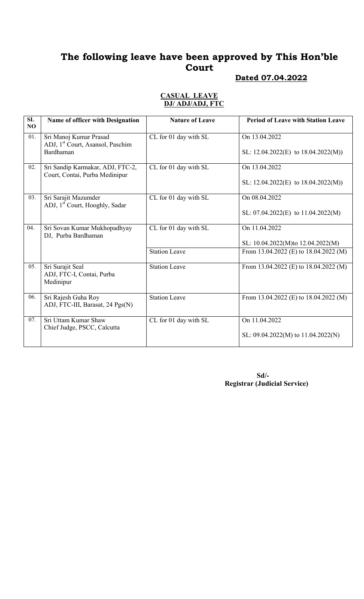# Dated 07.04.2022

| SL  |                                                                        | <b>Nature of Leave</b> | <b>Period of Leave with Station Leave</b> |
|-----|------------------------------------------------------------------------|------------------------|-------------------------------------------|
| NO  | Name of officer with Designation                                       |                        |                                           |
| 01. | Sri Manoj Kumar Prasad<br>ADJ, 1 <sup>st</sup> Court, Asansol, Paschim | CL for 01 day with SL  | On 13.04.2022                             |
|     | Bardhaman                                                              |                        | SL: $12.04.2022(E)$ to $18.04.2022(M)$ )  |
| 02. | Sri Sandip Karmakar, ADJ, FTC-2,<br>Court, Contai, Purba Medinipur     | CL for 01 day with SL  | On 13.04.2022                             |
|     |                                                                        |                        | SL: $12.04.2022(E)$ to $18.04.2022(M)$ )  |
| 03. | Sri Sarajit Mazumder<br>ADJ, 1 <sup>st</sup> Court, Hooghly, Sadar     | CL for 01 day with SL  | On 08.04.2022                             |
|     |                                                                        |                        | SL: $07.04.2022(E)$ to $11.04.2022(M)$    |
| 04. | Sri Sovan Kumar Mukhopadhyay<br>DJ, Purba Bardhaman                    | CL for 01 day with SL  | On 11.04.2022                             |
|     |                                                                        |                        | SL: 10.04.2022(M)to 12.04.2022(M)         |
|     |                                                                        | <b>Station Leave</b>   | From 13.04.2022 (E) to 18.04.2022 (M)     |
| 05. | Sri Surajit Seal<br>ADJ, FTC-I, Contai, Purba<br>Medinipur             | <b>Station Leave</b>   | From 13.04.2022 (E) to $18.04.2022$ (M)   |
| 06. | Sri Rajesh Guha Roy<br>ADJ, FTC-III, Barasat, 24 Pgs(N)                | <b>Station Leave</b>   | From 13.04.2022 (E) to 18.04.2022 (M)     |
| 07. | Sri Uttam Kumar Shaw<br>Chief Judge, PSCC, Calcutta                    | CL for 01 day with SL  | On 11.04.2022                             |
|     |                                                                        |                        | SL: $09.04.2022(M)$ to $11.04.2022(N)$    |

#### CASUAL LEAVE DJ/ ADJ/ADJ, FTC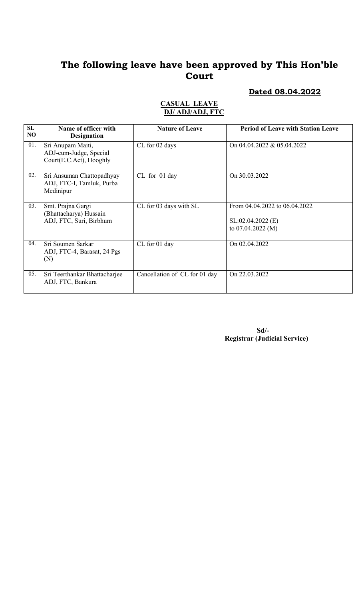# Dated 08.04.2022

| SL<br>NO | Name of officer with<br><b>Designation</b>                             | <b>Nature of Leave</b>        | <b>Period of Leave with Station Leave</b>                                  |
|----------|------------------------------------------------------------------------|-------------------------------|----------------------------------------------------------------------------|
| 01.      | Sri Anupam Maiti,<br>ADJ-cum-Judge, Special<br>Court(E.C.Act), Hooghly | CL for 02 days                | On 04.04.2022 & 05.04.2022                                                 |
| 02.      | Sri Ansuman Chattopadhyay<br>ADJ, FTC-I, Tamluk, Purba<br>Medinipur    | CL for 01 day                 | On 30.03.2022                                                              |
| 03.      | Smt. Prajna Gargi<br>(Bhattacharya) Hussain<br>ADJ, FTC, Suri, Birbhum | CL for 03 days with SL        | From 04.04.2022 to 06.04.2022<br>$SL:02.04.2022$ (E)<br>to $07.04.2022(M)$ |
| 04.      | Sri Soumen Sarkar<br>ADJ, FTC-4, Barasat, 24 Pgs<br>(N)                | CL for 01 day                 | On 02.04.2022                                                              |
| 05.      | Sri Teerthankar Bhattacharjee<br>ADJ, FTC, Bankura                     | Cancellation of CL for 01 day | On 22,03,2022                                                              |

#### CASUAL LEAVE DJ/ ADJ/ADJ, FTC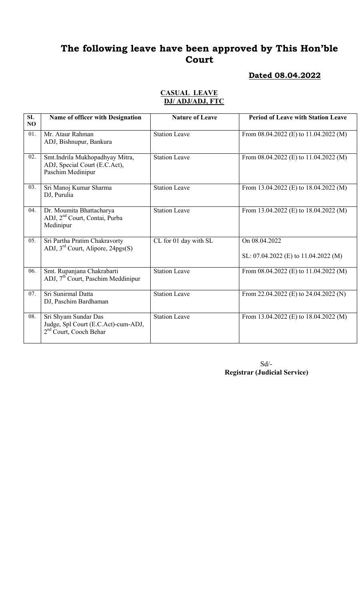#### Dated 08.04.2022

#### CASUAL LEAVE DJ/ ADJ/ADJ, FTC

| SL<br>NO | Name of officer with Designation                                                                  | <b>Nature of Leave</b> | <b>Period of Leave with Station Leave</b>             |
|----------|---------------------------------------------------------------------------------------------------|------------------------|-------------------------------------------------------|
| 01.      | Mr. Ataur Rahman<br>ADJ, Bishnupur, Bankura                                                       | <b>Station Leave</b>   | From $08.04.2022$ (E) to 11.04.2022 (M)               |
| 02.      | Smt.Indrila Mukhopadhyay Mitra,<br>ADJ, Special Court (E.C.Act),<br>Paschim Medinipur             | <b>Station Leave</b>   | From $08.04.2022$ (E) to $11.04.2022$ (M)             |
| 03.      | Sri Manoj Kumar Sharma<br>DJ, Purulia                                                             | <b>Station Leave</b>   | From 13.04.2022 (E) to $18.04.2022$ (M)               |
| 04.      | Dr. Moumita Bhattacharya<br>ADJ, 2 <sup>nd</sup> Court, Contai, Purba<br>Medinipur                | <b>Station Leave</b>   | From 13.04.2022 (E) to 18.04.2022 (M)                 |
| 05.      | Sri Partha Pratim Chakravorty<br>ADJ, $3^{rd}$ Court, Alipore, 24pgs(S)                           | CL for 01 day with SL  | On 08.04.2022<br>SL: 07.04.2022 (E) to 11.04.2022 (M) |
| 06.      | Smt. Rupanjana Chakrabarti<br>ADJ, 7 <sup>th</sup> Court, Paschim Meddinipur                      | <b>Station Leave</b>   | From $08.04.2022$ (E) to $11.04.2022$ (M)             |
| 07.      | Sri Sunirmal Datta<br>DJ, Paschim Bardhaman                                                       | <b>Station Leave</b>   | From 22.04.2022 (E) to 24.04.2022 (N)                 |
| 08.      | Sri Shyam Sundar Das<br>Judge, Spl Court (E.C.Act)-cum-ADJ,<br>2 <sup>nd</sup> Court, Cooch Behar | <b>Station Leave</b>   | From 13.04.2022 (E) to $18.04.2022$ (M)               |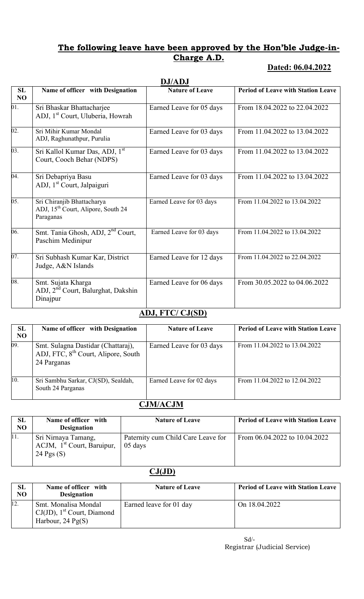### The following leave have been approved by the Hon'ble Judge-in-Charge A.D.

## Dated: 06.04.2022

|          | <b>DJ/ADJ</b>                                                                             |                          |                                           |  |
|----------|-------------------------------------------------------------------------------------------|--------------------------|-------------------------------------------|--|
| SL<br>NO | Name of officer with Designation                                                          | <b>Nature of Leave</b>   | <b>Period of Leave with Station Leave</b> |  |
| 01.      | Sri Bhaskar Bhattacharjee<br>ADJ, 1 <sup>st</sup> Court, Uluberia, Howrah                 | Earned Leave for 05 days | From 18.04.2022 to 22.04.2022             |  |
| 02.      | Sri Mihir Kumar Mondal<br>ADJ, Raghunathpur, Purulia                                      | Earned Leave for 03 days | From 11.04.2022 to 13.04.2022             |  |
| 03.      | Sri Kallol Kumar Das, ADJ, 1st<br>Court, Cooch Behar (NDPS)                               | Earned Leave for 03 days | From 11.04.2022 to 13.04.2022             |  |
| 04.      | Sri Debapriya Basu<br>ADJ, 1 <sup>st</sup> Court, Jalpaiguri                              | Earned Leave for 03 days | From 11.04.2022 to 13.04.2022             |  |
| 05.      | Sri Chiranjib Bhattacharya<br>ADJ, 15 <sup>th</sup> Court, Alipore, South 24<br>Paraganas | Earned Leave for 03 days | From 11.04.2022 to 13.04.2022             |  |
| 06.      | Smt. Tania Ghosh, ADJ, 2 <sup>nd</sup> Court,<br>Paschim Medinipur                        | Earned Leave for 03 days | From 11.04.2022 to 13.04.2022             |  |
| 07.      | Sri Subhash Kumar Kar, District<br>Judge, A&N Islands                                     | Earned Leave for 12 days | From 11.04.2022 to 22.04.2022             |  |
| 08.      | Smt. Sujata Kharga<br>ADJ, 2 <sup>nd</sup> Court, Balurghat, Dakshin<br>Dinajpur          | Earned Leave for 06 days | From 30.05.2022 to 04.06.2022             |  |

## ADJ, FTC/ CJ(SD)

| SL<br>NO | Name of officer with Designation                                                                     | <b>Nature of Leave</b>   | <b>Period of Leave with Station Leave</b> |
|----------|------------------------------------------------------------------------------------------------------|--------------------------|-------------------------------------------|
| 09.      | Smt. Sulagna Dastidar (Chattaraj),<br>ADJ, FTC, 8 <sup>th</sup> Court, Alipore, South<br>24 Parganas | Earned Leave for 03 days | From 11.04.2022 to 13.04.2022             |
| 10.      | Sri Sambhu Sarkar, CJ(SD), Sealdah,<br>South 24 Parganas                                             | Earned Leave for 02 days | From 11.04.2022 to 12.04.2022             |

## CJM/ACJM

| SL<br>N <sub>O</sub> | Name of officer with<br><b>Designation</b>                          | <b>Nature of Leave</b>                        | <b>Period of Leave with Station Leave</b> |
|----------------------|---------------------------------------------------------------------|-----------------------------------------------|-------------------------------------------|
| 11.                  | Sri Nirnaya Tamang,<br>ACJM, $1st$ Court, Baruipur,<br>24 Pgs $(S)$ | Paternity cum Child Care Leave for<br>05 days | From $06.04.2022$ to $10.04.2022$         |

# CJ(JD)

| SL<br>NO | Name of officer with<br><b>Designation</b>                                                       | <b>Nature of Leave</b>  | <b>Period of Leave with Station Leave</b> |
|----------|--------------------------------------------------------------------------------------------------|-------------------------|-------------------------------------------|
| 12.      | Smt. Monalisa Mondal<br>$CJ(JD)$ , 1 <sup>st</sup> Court, Diamond<br>Harbour, $24 \text{ Pg}(S)$ | Earned leave for 01 day | On 18.04.2022                             |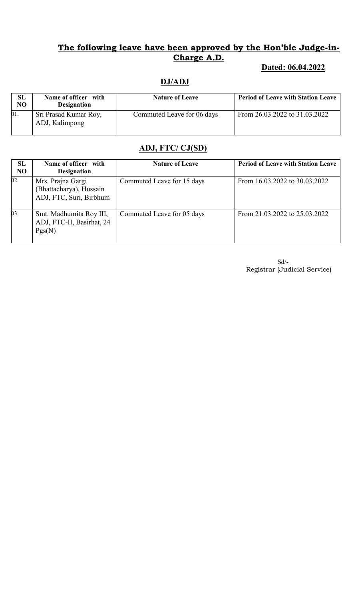## The following leave have been approved by the Hon'ble Judge-in-Charge A.D.

## Dated: 06.04.2022

# DJ/ADJ

| SL<br>NO | Name of officer with<br><b>Designation</b> | <b>Nature of Leave</b>     | <b>Period of Leave with Station Leave</b> |
|----------|--------------------------------------------|----------------------------|-------------------------------------------|
| 01.      | Sri Prasad Kumar Roy,<br>ADJ, Kalimpong    | Commuted Leave for 06 days | From 26.03.2022 to 31.03.2022             |

## ADJ, FTC/ CJ(SD)

| SL<br>N <sub>O</sub> | Name of officer with<br><b>Designation</b>                              | <b>Nature of Leave</b>     | <b>Period of Leave with Station Leave</b> |
|----------------------|-------------------------------------------------------------------------|----------------------------|-------------------------------------------|
| 02.                  | Mrs. Prajna Gargi<br>(Bhattacharya), Hussain<br>ADJ, FTC, Suri, Birbhum | Commuted Leave for 15 days | From 16.03.2022 to 30.03.2022             |
| 03.                  | Smt. Madhumita Roy III,<br>ADJ, FTC-II, Basirhat, 24<br>Pgs(N)          | Commuted Leave for 05 days | From 21.03.2022 to 25.03.2022             |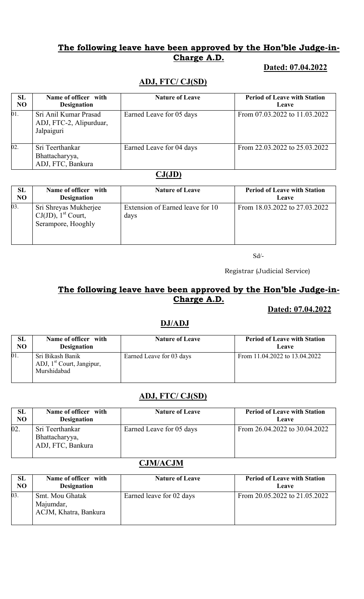### The following leave have been approved by the Hon'ble Judge-in-Charge A.D.

#### Dated: 07.04.2022

## ADJ, FTC/ CJ(SD)

| <b>SL</b><br>N <sub>O</sub> | Name of officer with<br><b>Designation</b>                     | <b>Nature of Leave</b>   | <b>Period of Leave with Station</b><br>Leave |
|-----------------------------|----------------------------------------------------------------|--------------------------|----------------------------------------------|
| 01.                         | Sri Anil Kumar Prasad<br>ADJ, FTC-2, Alipurduar,<br>Jalpaiguri | Earned Leave for 05 days | From 07.03.2022 to 11.03.2022                |
| $\overline{02}$ .           | Sri Teerthankar<br>Bhattacharyya,<br>ADJ, FTC, Bankura         | Earned Leave for 04 days | From 22.03.2022 to 25.03.2022                |

#### $CJ(JD)$

| SL             | Name of officer with                                                             | <b>Nature of Leave</b>                   | <b>Period of Leave with Station</b> |
|----------------|----------------------------------------------------------------------------------|------------------------------------------|-------------------------------------|
| N <sub>O</sub> | <b>Designation</b>                                                               |                                          | Leave                               |
| 03.            | Sri Shreyas Mukherjee<br>$CJ(JD)$ , 1 <sup>st</sup> Court,<br>Serampore, Hooghly | Extension of Earned leave for 10<br>days | From 18.03.2022 to 27.03.2022       |

Sd/-

Registrar (Judicial Service)

## The following leave have been approved by the Hon'ble Judge-in-Charge A.D.

#### Dated: 07.04.2022

#### DJ/ADJ

| SL  | Name of officer with                                                     | <b>Nature of Leave</b>   | <b>Period of Leave with Station</b> |
|-----|--------------------------------------------------------------------------|--------------------------|-------------------------------------|
| NO  | <b>Designation</b>                                                       |                          | Leave                               |
| 01. | Sri Bikash Banik<br>ADJ, 1 <sup>st</sup> Court, Jangipur,<br>Murshidabad | Earned Leave for 03 days | From 11.04.2022 to 13.04.2022       |

#### ADJ, FTC/ CJ(SD)

| SL  | Name of officer with                                   | <b>Nature of Leave</b>   | <b>Period of Leave with Station</b> |
|-----|--------------------------------------------------------|--------------------------|-------------------------------------|
| NO  | <b>Designation</b>                                     |                          | Leave                               |
| 02. | Sri Teerthankar<br>Bhattacharyya,<br>ADJ, FTC, Bankura | Earned Leave for 05 days | From 26.04.2022 to 30.04.2022       |

#### CJM/ACJM

| SL             | Name of officer with                                  | <b>Nature of Leave</b>   | <b>Period of Leave with Station</b> |
|----------------|-------------------------------------------------------|--------------------------|-------------------------------------|
| N <sub>O</sub> | <b>Designation</b>                                    |                          | Leave                               |
| 03.            | Smt. Mou Ghatak<br>Majumdar,<br>ACJM, Khatra, Bankura | Earned leave for 02 days | From 20.05.2022 to 21.05.2022       |